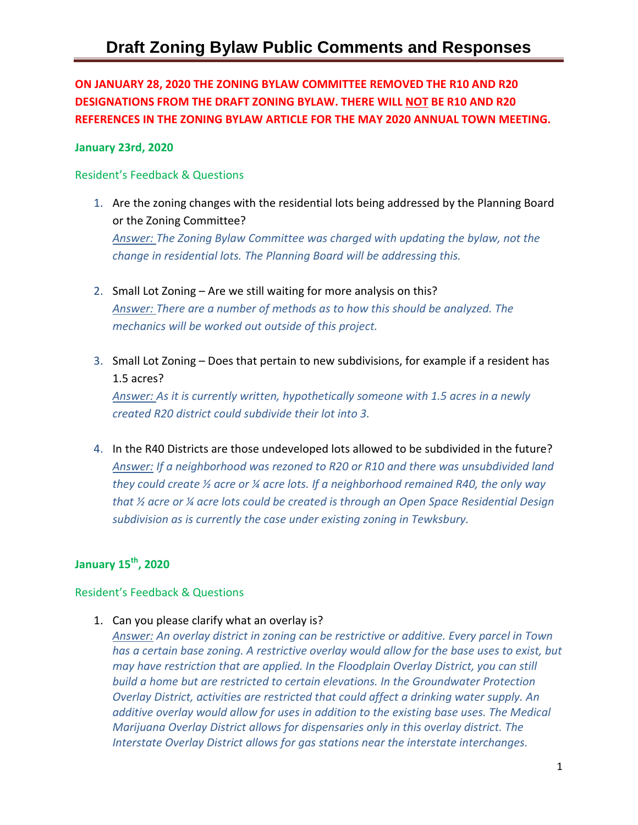**ON JANUARY 28, 2020 THE ZONING BYLAW COMMITTEE REMOVED THE R10 AND R20 DESIGNATIONS FROM THE DRAFT ZONING BYLAW. THERE WILL NOT BE R10 AND R20 REFERENCES IN THE ZONING BYLAW ARTICLE FOR THE MAY 2020 ANNUAL TOWN MEETING.** 

### **January 23rd, 2020**

### Resident's Feedback & Questions

- 1. Are the zoning changes with the residential lots being addressed by the Planning Board or the Zoning Committee? *Answer: The Zoning Bylaw Committee was charged with updating the bylaw, not the change in residential lots. The Planning Board will be addressing this.*
- 2. Small Lot Zoning Are we still waiting for more analysis on this? *Answer: There are a number of methods as to how this should be analyzed. The mechanics will be worked out outside of this project.*
- 3. Small Lot Zoning Does that pertain to new subdivisions, for example if a resident has 1.5 acres?

*Answer: As it is currently written, hypothetically someone with 1.5 acres in a newly created R20 district could subdivide their lot into 3.* 

4. In the R40 Districts are those undeveloped lots allowed to be subdivided in the future? *Answer: If a neighborhood was rezoned to R20 or R10 and there was unsubdivided land they could create ½ acre or ¼ acre lots. If a neighborhood remained R40, the only way that ½ acre or ¼ acre lots could be created is through an Open Space Residential Design subdivision as is currently the case under existing zoning in Tewksbury.* 

# **January 15th, 2020**

#### Resident's Feedback & Questions

1. Can you please clarify what an overlay is?

*Answer: An overlay district in zoning can be restrictive or additive. Every parcel in Town has a certain base zoning. A restrictive overlay would allow for the base uses to exist, but may have restriction that are applied. In the Floodplain Overlay District, you can still build a home but are restricted to certain elevations. In the Groundwater Protection Overlay District, activities are restricted that could affect a drinking water supply. An additive overlay would allow for uses in addition to the existing base uses. The Medical Marijuana Overlay District allows for dispensaries only in this overlay district. The Interstate Overlay District allows for gas stations near the interstate interchanges.*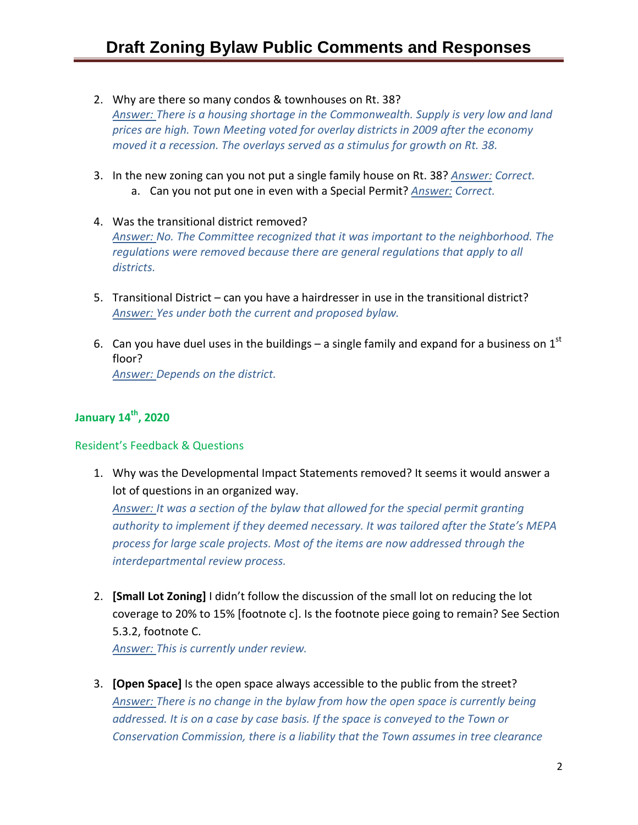- 2. Why are there so many condos & townhouses on Rt. 38? *Answer: There is a housing shortage in the Commonwealth. Supply is very low and land prices are high. Town Meeting voted for overlay districts in 2009 after the economy moved it a recession. The overlays served as a stimulus for growth on Rt. 38.*
- 3. In the new zoning can you not put a single family house on Rt. 38? *Answer: Correct.*  a. Can you not put one in even with a Special Permit? *Answer: Correct.*
- 4. Was the transitional district removed? *Answer: No. The Committee recognized that it was important to the neighborhood. The regulations were removed because there are general regulations that apply to all districts.*
- 5. Transitional District can you have a hairdresser in use in the transitional district? *Answer: Yes under both the current and proposed bylaw.*
- 6. Can you have duel uses in the buildings a single family and expand for a business on  $1<sup>st</sup>$ floor? *Answer: Depends on the district.*

### **January 14th, 2020**

### Resident's Feedback & Questions

1. Why was the Developmental Impact Statements removed? It seems it would answer a lot of questions in an organized way.

*Answer: It was a section of the bylaw that allowed for the special permit granting authority to implement if they deemed necessary. It was tailored after the State's MEPA process for large scale projects. Most of the items are now addressed through the interdepartmental review process.* 

2. **[Small Lot Zoning]** I didn't follow the discussion of the small lot on reducing the lot coverage to 20% to 15% [footnote c]. Is the footnote piece going to remain? See Section 5.3.2, footnote C.

*Answer: This is currently under review.*

3. **[Open Space]** Is the open space always accessible to the public from the street? *Answer: There is no change in the bylaw from how the open space is currently being*  addressed. It is on a case by case basis. If the space is conveyed to the Town or *Conservation Commission, there is a liability that the Town assumes in tree clearance*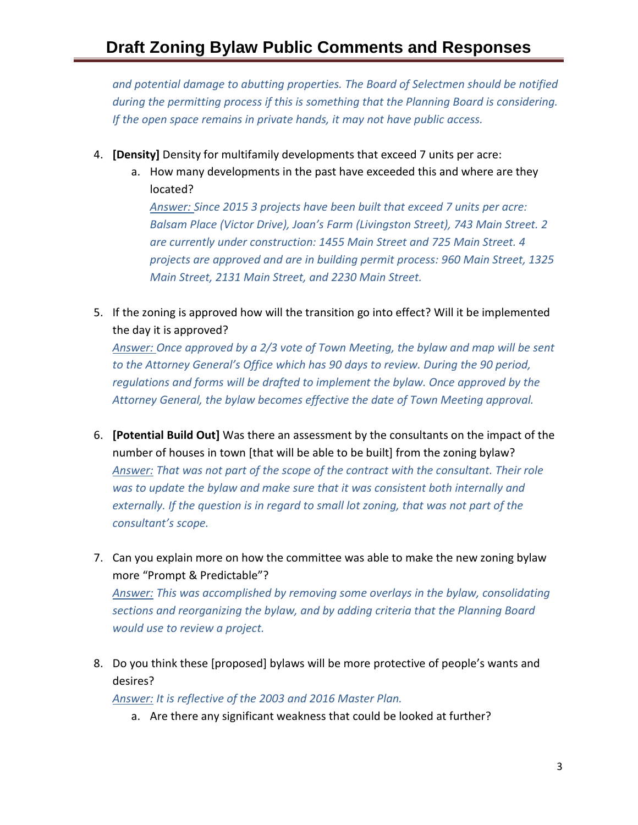# **Draft Zoning Bylaw Public Comments and Responses**

*and potential damage to abutting properties. The Board of Selectmen should be notified during the permitting process if this is something that the Planning Board is considering. If the open space remains in private hands, it may not have public access.*

- 4. **[Density]** Density for multifamily developments that exceed 7 units per acre:
	- a. How many developments in the past have exceeded this and where are they located?

*Answer: Since 2015 3 projects have been built that exceed 7 units per acre: Balsam Place (Victor Drive), Joan's Farm (Livingston Street), 743 Main Street. 2 are currently under construction: 1455 Main Street and 725 Main Street. 4 projects are approved and are in building permit process: 960 Main Street, 1325 Main Street, 2131 Main Street, and 2230 Main Street.* 

5. If the zoning is approved how will the transition go into effect? Will it be implemented the day it is approved?

*Answer: Once approved by a 2/3 vote of Town Meeting, the bylaw and map will be sent to the Attorney General's Office which has 90 days to review. During the 90 period, regulations and forms will be drafted to implement the bylaw. Once approved by the Attorney General, the bylaw becomes effective the date of Town Meeting approval.* 

- 6. **[Potential Build Out]** Was there an assessment by the consultants on the impact of the number of houses in town [that will be able to be built] from the zoning bylaw? *Answer: That was not part of the scope of the contract with the consultant. Their role was to update the bylaw and make sure that it was consistent both internally and externally. If the question is in regard to small lot zoning, that was not part of the consultant's scope.*
- 7. Can you explain more on how the committee was able to make the new zoning bylaw more "Prompt & Predictable"?

*Answer: This was accomplished by removing some overlays in the bylaw, consolidating sections and reorganizing the bylaw, and by adding criteria that the Planning Board would use to review a project.* 

8. Do you think these [proposed] bylaws will be more protective of people's wants and desires?

*Answer: It is reflective of the 2003 and 2016 Master Plan.* 

a. Are there any significant weakness that could be looked at further?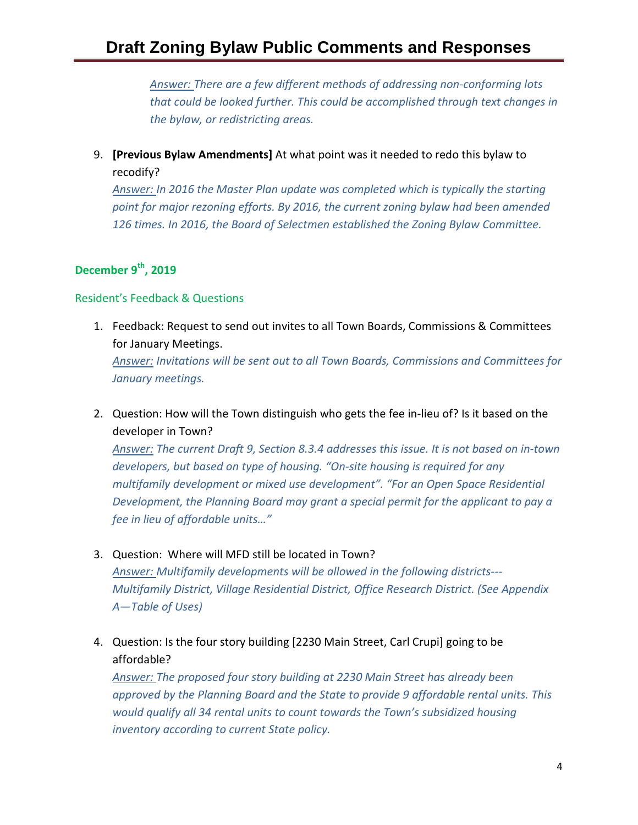# **Draft Zoning Bylaw Public Comments and Responses**

*Answer: There are a few different methods of addressing non-conforming lots that could be looked further. This could be accomplished through text changes in the bylaw, or redistricting areas.* 

9. **[Previous Bylaw Amendments]** At what point was it needed to redo this bylaw to recodify?

*Answer: In 2016 the Master Plan update was completed which is typically the starting point for major rezoning efforts. By 2016, the current zoning bylaw had been amended 126 times. In 2016, the Board of Selectmen established the Zoning Bylaw Committee.* 

## **December 9th, 2019**

#### Resident's Feedback & Questions

- 1. Feedback: Request to send out invites to all Town Boards, Commissions & Committees for January Meetings. *Answer: Invitations will be sent out to all Town Boards, Commissions and Committees for January meetings.*
- 2. Question: How will the Town distinguish who gets the fee in-lieu of? Is it based on the developer in Town?

*Answer: The current Draft 9, Section 8.3.4 addresses this issue. It is not based on in-town developers, but based on type of housing. "On-site housing is required for any multifamily development or mixed use development". "For an Open Space Residential Development, the Planning Board may grant a special permit for the applicant to pay a fee in lieu of affordable units…"*

- 3. Question: Where will MFD still be located in Town? *Answer: Multifamily developments will be allowed in the following districts--- Multifamily District, Village Residential District, Office Research District. (See Appendix A—Table of Uses)*
- 4. Question: Is the four story building [2230 Main Street, Carl Crupi] going to be affordable?

*Answer: The proposed four story building at 2230 Main Street has already been approved by the Planning Board and the State to provide 9 affordable rental units. This would qualify all 34 rental units to count towards the Town's subsidized housing inventory according to current State policy.*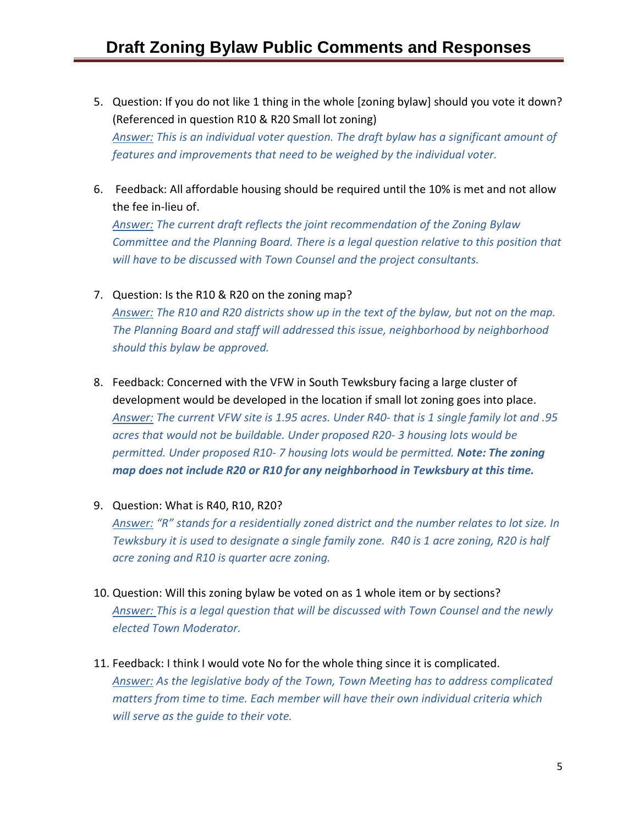- 5. Question: If you do not like 1 thing in the whole [zoning bylaw] should you vote it down? (Referenced in question R10 & R20 Small lot zoning) *Answer: This is an individual voter question. The draft bylaw has a significant amount of features and improvements that need to be weighed by the individual voter.*
- 6. Feedback: All affordable housing should be required until the 10% is met and not allow the fee in-lieu of.

*Answer: The current draft reflects the joint recommendation of the Zoning Bylaw Committee and the Planning Board. There is a legal question relative to this position that will have to be discussed with Town Counsel and the project consultants.* 

### 7. Question: Is the R10 & R20 on the zoning map?

*Answer: The R10 and R20 districts show up in the text of the bylaw, but not on the map. The Planning Board and staff will addressed this issue, neighborhood by neighborhood should this bylaw be approved.* 

- 8. Feedback: Concerned with the VFW in South Tewksbury facing a large cluster of development would be developed in the location if small lot zoning goes into place. *Answer: The current VFW site is 1.95 acres. Under R40- that is 1 single family lot and .95 acres that would not be buildable. Under proposed R20- 3 housing lots would be permitted. Under proposed R10- 7 housing lots would be permitted. Note: The zoning map does not include R20 or R10 for any neighborhood in Tewksbury at this time.*
- 9. Question: What is R40, R10, R20?

*Answer: "R" stands for a residentially zoned district and the number relates to lot size. In Tewksbury it is used to designate a single family zone. R40 is 1 acre zoning, R20 is half acre zoning and R10 is quarter acre zoning.* 

- 10. Question: Will this zoning bylaw be voted on as 1 whole item or by sections? *Answer: This is a legal question that will be discussed with Town Counsel and the newly elected Town Moderator.*
- 11. Feedback: I think I would vote No for the whole thing since it is complicated. *Answer: As the legislative body of the Town, Town Meeting has to address complicated matters from time to time. Each member will have their own individual criteria which will serve as the guide to their vote.*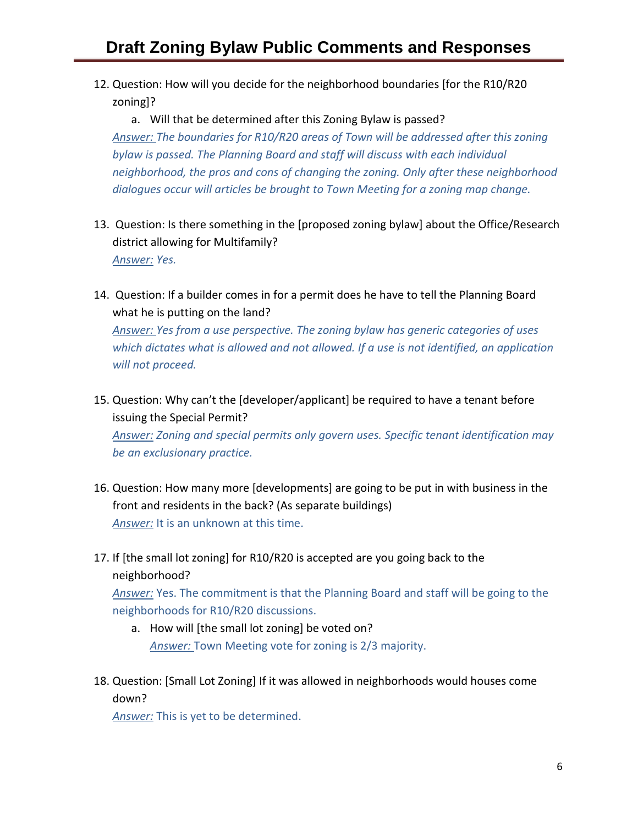12. Question: How will you decide for the neighborhood boundaries [for the R10/R20 zoning]?

a. Will that be determined after this Zoning Bylaw is passed? *Answer: The boundaries for R10/R20 areas of Town will be addressed after this zoning bylaw is passed. The Planning Board and staff will discuss with each individual neighborhood, the pros and cons of changing the zoning. Only after these neighborhood dialogues occur will articles be brought to Town Meeting for a zoning map change.* 

- 13. Question: Is there something in the [proposed zoning bylaw] about the Office/Research district allowing for Multifamily? *Answer: Yes.*
- 14. Question: If a builder comes in for a permit does he have to tell the Planning Board what he is putting on the land?

*Answer: Yes from a use perspective. The zoning bylaw has generic categories of uses which dictates what is allowed and not allowed. If a use is not identified, an application will not proceed.* 

- 15. Question: Why can't the [developer/applicant] be required to have a tenant before issuing the Special Permit? *Answer: Zoning and special permits only govern uses. Specific tenant identification may be an exclusionary practice.*
- 16. Question: How many more [developments] are going to be put in with business in the front and residents in the back? (As separate buildings) *Answer:* It is an unknown at this time.
- 17. If [the small lot zoning] for R10/R20 is accepted are you going back to the neighborhood?

*Answer:* Yes. The commitment is that the Planning Board and staff will be going to the neighborhoods for R10/R20 discussions.

- a. How will [the small lot zoning] be voted on? *Answer:* Town Meeting vote for zoning is 2/3 majority.
- 18. Question: [Small Lot Zoning] If it was allowed in neighborhoods would houses come down?

*Answer:* This is yet to be determined.